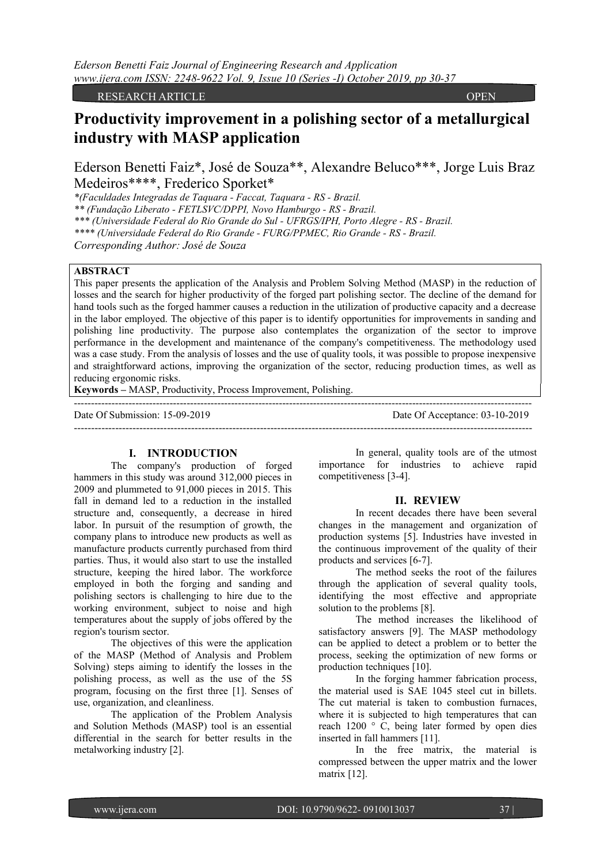RESEARCH ARTICLE OPEN

# Productivity improvement in a polishing sector of a metallurgical **industry with MASP application**

Ederson Benetti Faiz\*, José de Souza\*\*, Alexandre Beluco\*\*\*, Jorge Luis Braz Medeiros\*\*\*\*, Frederico Sporket\*

*\*(Faculdades Integradas de Taquara - Faccat, Taquara - RS - Brazil. \*\* (Fundação Liberato - FETLSVC/DPPI, Novo Hamburgo - RS - Brazil. \*\*\* (Universidade Federal do Rio Grande do Sul - UFRGS/IPH, Porto Alegre - RS - Brazil. \*\*\*\* (Universidade Federal do Rio Grande - FURG/PPMEC, Rio Grande - RS - Brazil. Corresponding Author: José de Souza*

## **ABSTRACT**

This paper presents the application of the Analysis and Problem Solving Method (MASP) in the reduction of losses and the search for higher productivity of the forged part polishing sector. The decline of the demand for hand tools such as the forged hammer causes a reduction in the utilization of productive capacity and a decrease in the labor employed. The objective of this paper is to identify opportunities for improvements in sanding and polishing line productivity. The purpose also contemplates the organization of the sector to improve performance in the development and maintenance of the company's competitiveness. The methodology used was a case study. From the analysis of losses and the use of quality tools, it was possible to propose inexpensive and straightforward actions, improving the organization of the sector, reducing production times, as well as reducing ergonomic risks.

-------------------------------------------------------------------------------------------------------------------------------------

**Keywords –** MASP, Productivity, Process Improvement, Polishing.

-------------------------------------------------------------------------------------------------------------------------------------- Date Of Submission: 15-09-2019 Date Of Acceptance: 03-10-2019

## **I. INTRODUCTION**

The company's production of forged hammers in this study was around 312,000 pieces in 2009 and plummeted to 91,000 pieces in 2015. This fall in demand led to a reduction in the installed structure and, consequently, a decrease in hired labor. In pursuit of the resumption of growth, the company plans to introduce new products as well as manufacture products currently purchased from third parties. Thus, it would also start to use the installed structure, keeping the hired labor. The workforce employed in both the forging and sanding and polishing sectors is challenging to hire due to the working environment, subject to noise and high temperatures about the supply of jobs offered by the region's tourism sector.

The objectives of this were the application of the MASP (Method of Analysis and Problem Solving) steps aiming to identify the losses in the polishing process, as well as the use of the 5S program, focusing on the first three [1]. Senses of use, organization, and cleanliness.

The application of the Problem Analysis and Solution Methods (MASP) tool is an essential differential in the search for better results in the metalworking industry [2].

In general, quality tools are of the utmost importance for industries to achieve rapid competitiveness [3-4].

## **II. REVIEW**

In recent decades there have been several changes in the management and organization of production systems [5]. Industries have invested in the continuous improvement of the quality of their products and services [6-7].

The method seeks the root of the failures through the application of several quality tools, identifying the most effective and appropriate solution to the problems [8].

The method increases the likelihood of satisfactory answers [9]. The MASP methodology can be applied to detect a problem or to better the process, seeking the optimization of new forms or production techniques [10].

In the forging hammer fabrication process, the material used is SAE 1045 steel cut in billets. The cut material is taken to combustion furnaces, where it is subjected to high temperatures that can reach 1200 ° C, being later formed by open dies inserted in fall hammers [11].

In the free matrix, the material is compressed between the upper matrix and the lower matrix [12].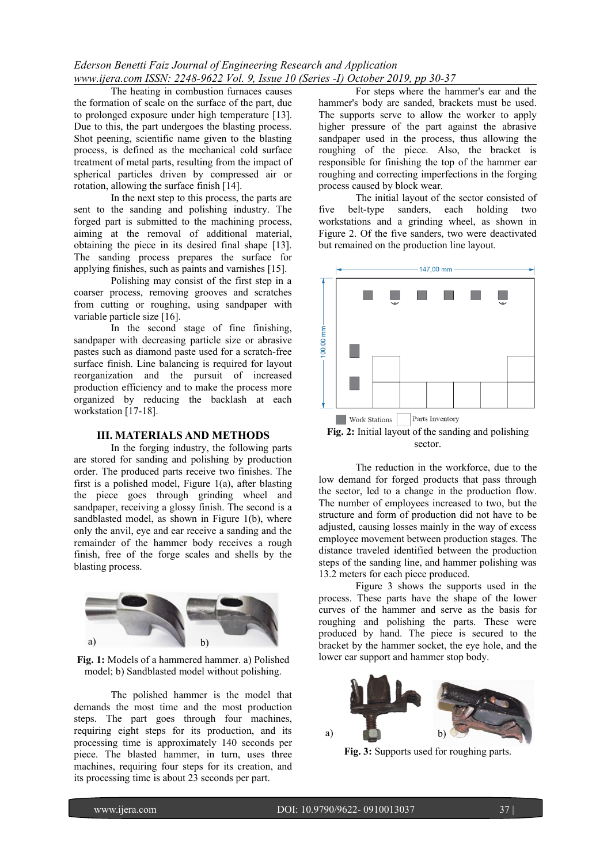#### *Ederson Benetti Faiz Journal of Engineering Research and Application www.ijera.com ISSN: 2248-9622 Vol. 9, Issue 10 (Series -I) October 2019, pp 30-37*

The heating in combustion furnaces causes the formation of scale on the surface of the part, due to prolonged exposure under high temperature [13]. Due to this, the part undergoes the blasting process. Shot peening, scientific name given to the blasting process, is defined as the mechanical cold surface treatment of metal parts, resulting from the impact of spherical particles driven by compressed air or rotation, allowing the surface finish [14].

In the next step to this process, the parts are sent to the sanding and polishing industry. The forged part is submitted to the machining process, aiming at the removal of additional material, obtaining the piece in its desired final shape [13]. The sanding process prepares the surface for applying finishes, such as paints and varnishes [15].

Polishing may consist of the first step in a coarser process, removing grooves and scratches from cutting or roughing, using sandpaper with variable particle size [16].

In the second stage of fine finishing, sandpaper with decreasing particle size or abrasive pastes such as diamond paste used for a scratch-free surface finish. Line balancing is required for layout reorganization and the pursuit of increased production efficiency and to make the process more organized by reducing the backlash at each workstation [17-18].

#### **III. MATERIALS AND METHODS**

In the forging industry, the following parts are stored for sanding and polishing by production order. The produced parts receive two finishes. The first is a polished model, Figure 1(a), after blasting the piece goes through grinding wheel and sandpaper, receiving a glossy finish. The second is a sandblasted model, as shown in Figure 1(b), where only the anvil, eye and ear receive a sanding and the remainder of the hammer body receives a rough finish, free of the forge scales and shells by the blasting process.



**Fig. 1:** Models of a hammered hammer. a) Polished model; b) Sandblasted model without polishing.

The polished hammer is the model that demands the most time and the most production steps. The part goes through four machines, requiring eight steps for its production, and its processing time is approximately 140 seconds per piece. The blasted hammer, in turn, uses three machines, requiring four steps for its creation, and its processing time is about 23 seconds per part.

For steps where the hammer's ear and the hammer's body are sanded, brackets must be used. The supports serve to allow the worker to apply higher pressure of the part against the abrasive sandpaper used in the process, thus allowing the roughing of the piece. Also, the bracket is responsible for finishing the top of the hammer ear roughing and correcting imperfections in the forging process caused by block wear.

The initial layout of the sector consisted of five belt-type sanders, each holding two workstations and a grinding wheel, as shown in Figure 2. Of the five sanders, two were deactivated but remained on the production line layout.



sector.

The reduction in the workforce, due to the low demand for forged products that pass through the sector, led to a change in the production flow. The number of employees increased to two, but the structure and form of production did not have to be adjusted, causing losses mainly in the way of excess employee movement between production stages. The distance traveled identified between the production steps of the sanding line, and hammer polishing was 13.2 meters for each piece produced.

Figure 3 shows the supports used in the process. These parts have the shape of the lower curves of the hammer and serve as the basis for roughing and polishing the parts. These were produced by hand. The piece is secured to the bracket by the hammer socket, the eye hole, and the lower ear support and hammer stop body.



**Fig. 3:** Supports used for roughing parts.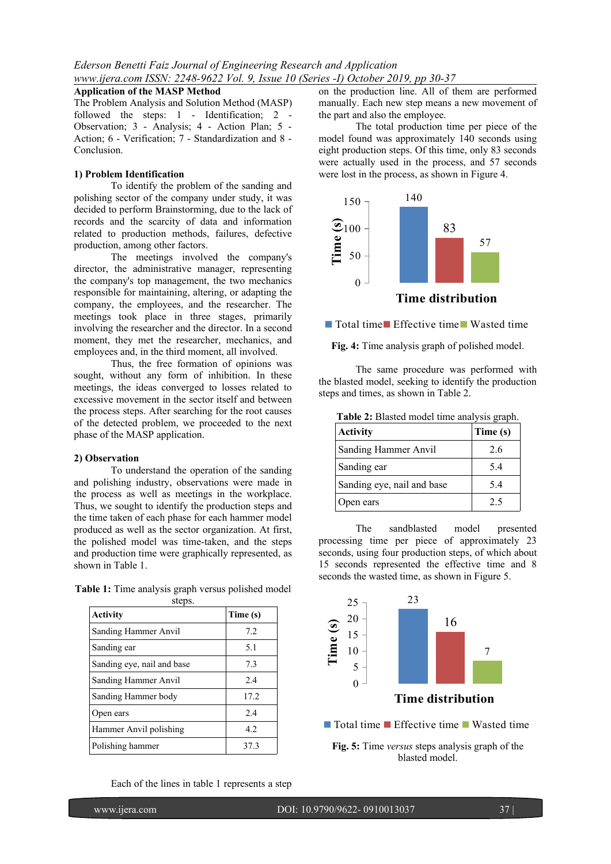## **Application of the MASP Method**

The Problem Analysis and Solution Method (MASP) followed the steps: 1 - Identification; 2 - Observation; 3 - Analysis; 4 - Action Plan; 5 - Action; 6 - Verification; 7 - Standardization and 8 - Conclusion.

## **1) Problem Identification**

To identify the problem of the sanding and polishing sector of the company under study, it was decided to perform Brainstorming, due to the lack of records and the scarcity of data and information related to production methods, failures, defective production, among other factors.

The meetings involved the company's director, the administrative manager, representing the company's top management, the two mechanics responsible for maintaining, altering, or adapting the company, the employees, and the researcher. The meetings took place in three stages, primarily involving the researcher and the director. In a second moment, they met the researcher, mechanics, and employees and, in the third moment, all involved.

Thus, the free formation of opinions was sought, without any form of inhibition. In these meetings, the ideas converged to losses related to excessive movement in the sector itself and between the process steps. After searching for the root causes of the detected problem, we proceeded to the next phase of the MASP application.

#### **2) Observation**

To understand the operation of the sanding and polishing industry, observations were made in the process as well as meetings in the workplace. Thus, we sought to identify the production steps and the time taken of each phase for each hammer model produced as well as the sector organization. At first, the polished model was time-taken, and the steps and production time were graphically represented, as shown in Table 1.

| steps.                     |          |
|----------------------------|----------|
| <b>Activity</b>            | Time (s) |
| Sanding Hammer Anvil       | 7.2      |
| Sanding ear                | 5.1      |
| Sanding eye, nail and base | 7.3      |
| Sanding Hammer Anvil       | 2.4      |
| Sanding Hammer body        | 17.2     |
| Open ears                  | 2.4      |
| Hammer Anvil polishing     | 4.2.     |
| Polishing hammer           | 37.3     |

**Table 1:** Time analysis graph versus polished model

Each of the lines in table 1 represents a step

on the production line. All of them are performed manually. Each new step means a new movement of the part and also the employee.

The total production time per piece of the model found was approximately 140 seconds using eight production steps. Of this time, only 83 seconds were actually used in the process, and 57 seconds were lost in the process, as shown in Figure 4.



■ Total time Effective time Wasted time

**Fig. 4:** Time analysis graph of polished model.

The same procedure was performed with the blasted model, seeking to identify the production steps and times, as shown in Table 2.

| Table 2: Blasted model time analysis graph. |          |
|---------------------------------------------|----------|
| <b>Activity</b>                             | Time (s) |
| Sanding Hammer Anvil                        | 2.6      |
| Sanding ear                                 | 5.4      |
| Sanding eye, nail and base                  | 5.4      |
| Open ears                                   | 2.5      |

The sandblasted model presented processing time per piece of approximately 23 seconds, using four production steps, of which about 15 seconds represented the effective time and 8



**Fig. 5:** Time *versus* steps analysis graph of the blasted model.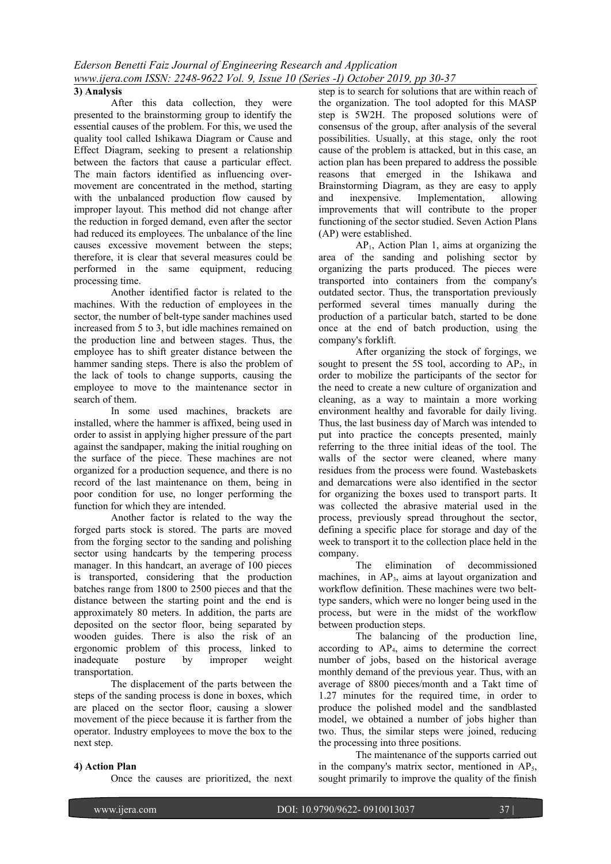## **3) Analysis**

After this data collection, they were presented to the brainstorming group to identify the essential causes of the problem. For this, we used the quality tool called Ishikawa Diagram or Cause and Effect Diagram, seeking to present a relationship between the factors that cause a particular effect. The main factors identified as influencing overmovement are concentrated in the method, starting with the unbalanced production flow caused by improper layout. This method did not change after the reduction in forged demand, even after the sector had reduced its employees. The unbalance of the line causes excessive movement between the steps; therefore, it is clear that several measures could be performed in the same equipment, reducing processing time.

Another identified factor is related to the machines. With the reduction of employees in the sector, the number of belt-type sander machines used increased from 5 to 3, but idle machines remained on the production line and between stages. Thus, the employee has to shift greater distance between the hammer sanding steps. There is also the problem of the lack of tools to change supports, causing the employee to move to the maintenance sector in search of them.

In some used machines, brackets are installed, where the hammer is affixed, being used in order to assist in applying higher pressure of the part against the sandpaper, making the initial roughing on the surface of the piece. These machines are not organized for a production sequence, and there is no record of the last maintenance on them, being in poor condition for use, no longer performing the function for which they are intended.

Another factor is related to the way the forged parts stock is stored. The parts are moved from the forging sector to the sanding and polishing sector using handcarts by the tempering process manager. In this handcart, an average of 100 pieces is transported, considering that the production batches range from 1800 to 2500 pieces and that the distance between the starting point and the end is approximately 80 meters. In addition, the parts are deposited on the sector floor, being separated by wooden guides. There is also the risk of an ergonomic problem of this process, linked to inadequate posture by improper weight transportation.

The displacement of the parts between the steps of the sanding process is done in boxes, which are placed on the sector floor, causing a slower movement of the piece because it is farther from the operator. Industry employees to move the box to the next step.

## **4) Action Plan**

P a g e

Once the causes are prioritized, the next

step is to search for solutions that are within reach of the organization. The tool adopted for this MASP step is 5W2H. The proposed solutions were of consensus of the group, after analysis of the several possibilities. Usually, at this stage, only the root cause of the problem is attacked, but in this case, an action plan has been prepared to address the possible reasons that emerged in the Ishikawa and Brainstorming Diagram, as they are easy to apply and inexpensive. Implementation, allowing improvements that will contribute to the proper functioning of the sector studied. Seven Action Plans (AP) were established.

 $AP<sub>1</sub>$ , Action Plan 1, aims at organizing the area of the sanding and polishing sector by organizing the parts produced. The pieces were transported into containers from the company's outdated sector. Thus, the transportation previously performed several times manually during the production of a particular batch, started to be done once at the end of batch production, using the company's forklift.

After organizing the stock of forgings, we sought to present the 5S tool, according to  $AP<sub>2</sub>$ , in order to mobilize the participants of the sector for the need to create a new culture of organization and cleaning, as a way to maintain a more working environment healthy and favorable for daily living. Thus, the last business day of March was intended to put into practice the concepts presented, mainly referring to the three initial ideas of the tool. The walls of the sector were cleaned, where many residues from the process were found. Wastebaskets and demarcations were also identified in the sector for organizing the boxes used to transport parts. It was collected the abrasive material used in the process, previously spread throughout the sector, defining a specific place for storage and day of the week to transport it to the collection place held in the company.

The elimination of decommissioned machines, in AP3, aims at layout organization and workflow definition. These machines were two belttype sanders, which were no longer being used in the process, but were in the midst of the workflow between production steps.

The balancing of the production line, according to AP4, aims to determine the correct number of jobs, based on the historical average monthly demand of the previous year. Thus, with an average of 8800 pieces/month and a Takt time of 1.27 minutes for the required time, in order to produce the polished model and the sandblasted model, we obtained a number of jobs higher than two. Thus, the similar steps were joined, reducing the processing into three positions.

The maintenance of the supports carried out in the company's matrix sector, mentioned in  $AP_5$ , sought primarily to improve the quality of the finish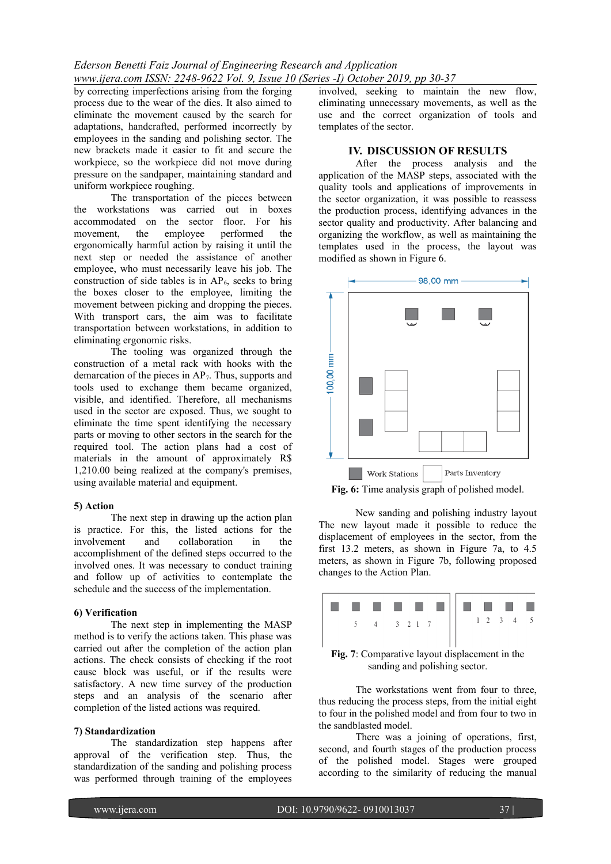by correcting imperfections arising from the forging process due to the wear of the dies. It also aimed to eliminate the movement caused by the search for adaptations, handcrafted, performed incorrectly by employees in the sanding and polishing sector. The new brackets made it easier to fit and secure the workpiece, so the workpiece did not move during pressure on the sandpaper, maintaining standard and uniform workpiece roughing.

The transportation of the pieces between the workstations was carried out in boxes accommodated on the sector floor. For his movement, the employee performed the ergonomically harmful action by raising it until the next step or needed the assistance of another employee, who must necessarily leave his job. The construction of side tables is in  $AP_6$ , seeks to bring the boxes closer to the employee, limiting the movement between picking and dropping the pieces. With transport cars, the aim was to facilitate transportation between workstations, in addition to eliminating ergonomic risks.

The tooling was organized through the construction of a metal rack with hooks with the demarcation of the pieces in  $AP_7$ . Thus, supports and tools used to exchange them became organized, visible, and identified. Therefore, all mechanisms used in the sector are exposed. Thus, we sought to eliminate the time spent identifying the necessary parts or moving to other sectors in the search for the required tool. The action plans had a cost of materials in the amount of approximately R\$ 1,210.00 being realized at the company's premises, using available material and equipment.

#### **5) Action**

The next step in drawing up the action plan is practice. For this, the listed actions for the involvement and collaboration in the accomplishment of the defined steps occurred to the involved ones. It was necessary to conduct training and follow up of activities to contemplate the schedule and the success of the implementation.

#### **6) Verification**

The next step in implementing the MASP method is to verify the actions taken. This phase was carried out after the completion of the action plan actions. The check consists of checking if the root cause block was useful, or if the results were satisfactory. A new time survey of the production steps and an analysis of the scenario after completion of the listed actions was required.

#### **7) Standardization**

The standardization step happens after approval of the verification step. Thus, the standardization of the sanding and polishing process was performed through training of the employees

involved, seeking to maintain the new flow, eliminating unnecessary movements, as well as the use and the correct organization of tools and templates of the sector.

#### **IV. DISCUSSION OF RESULTS**

After the process analysis and the application of the MASP steps, associated with the quality tools and applications of improvements in the sector organization, it was possible to reassess the production process, identifying advances in the sector quality and productivity. After balancing and organizing the workflow, as well as maintaining the templates used in the process, the layout was modified as shown in Figure 6.



**Fig. 6:** Time analysis graph of polished model.

New sanding and polishing industry layout The new layout made it possible to reduce the displacement of employees in the sector, from the first 13.2 meters, as shown in Figure 7a, to 4.5 meters, as shown in Figure 7b, following proposed changes to the Action Plan.



**Fig. 7**: Comparative layout displacement in the sanding and polishing sector.

The workstations went from four to three, thus reducing the process steps, from the initial eight to four in the polished model and from four to two in the sandblasted model.

There was a joining of operations, first, second, and fourth stages of the production process of the polished model. Stages were grouped according to the similarity of reducing the manual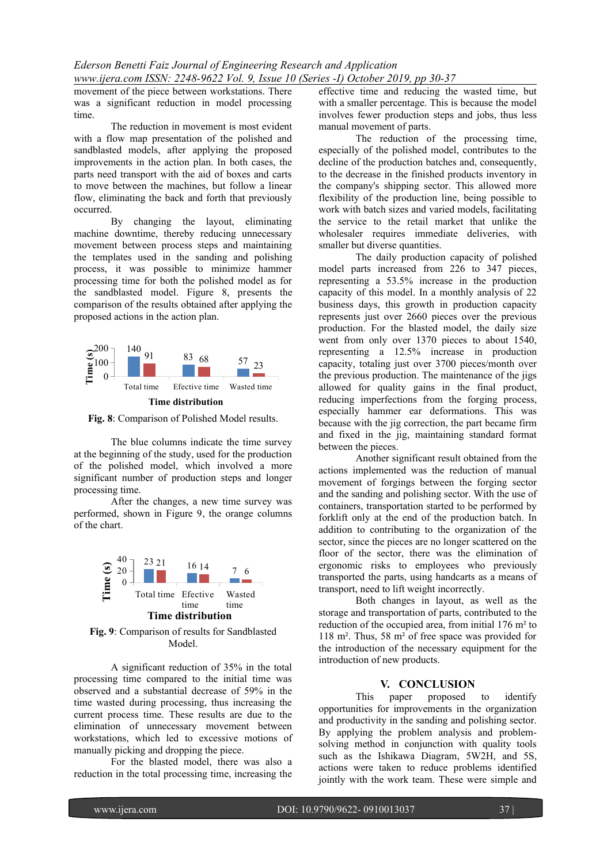movement of the piece between workstations. There was a significant reduction in model processing time.

The reduction in movement is most evident with a flow map presentation of the polished and sandblasted models, after applying the proposed improvements in the action plan. In both cases, the parts need transport with the aid of boxes and carts to move between the machines, but follow a linear flow, eliminating the back and forth that previously occurred.

By changing the layout, eliminating machine downtime, thereby reducing unnecessary movement between process steps and maintaining the templates used in the sanding and polishing process, it was possible to minimize hammer processing time for both the polished model as for the sandblasted model. Figure 8, presents the comparison of the results obtained after applying the proposed actions in the action plan.



**Fig. 8**: Comparison of Polished Model results.

The blue columns indicate the time survey at the beginning of the study, used for the production of the polished model, which involved a more significant number of production steps and longer processing time.

After the changes, a new time survey was performed, shown in Figure 9, the orange columns of the chart.



**Fig. 9**: Comparison of results for Sandblasted Model.

A significant reduction of 35% in the total processing time compared to the initial time was observed and a substantial decrease of 59% in the time wasted during processing, thus increasing the current process time. These results are due to the elimination of unnecessary movement between workstations, which led to excessive motions of manually picking and dropping the piece.

For the blasted model, there was also a reduction in the total processing time, increasing the

effective time and reducing the wasted time, but with a smaller percentage. This is because the model involves fewer production steps and jobs, thus less manual movement of parts.

The reduction of the processing time, especially of the polished model, contributes to the decline of the production batches and, consequently, to the decrease in the finished products inventory in the company's shipping sector. This allowed more flexibility of the production line, being possible to work with batch sizes and varied models, facilitating the service to the retail market that unlike the wholesaler requires immediate deliveries, with smaller but diverse quantities.

The daily production capacity of polished model parts increased from 226 to 347 pieces, representing a 53.5% increase in the production capacity of this model. In a monthly analysis of 22 business days, this growth in production capacity represents just over 2660 pieces over the previous production. For the blasted model, the daily size went from only over 1370 pieces to about 1540, representing a 12.5% increase in production capacity, totaling just over 3700 pieces/month over the previous production. The maintenance of the jigs allowed for quality gains in the final product, reducing imperfections from the forging process, especially hammer ear deformations. This was because with the jig correction, the part became firm and fixed in the jig, maintaining standard format between the pieces.

Another significant result obtained from the actions implemented was the reduction of manual movement of forgings between the forging sector and the sanding and polishing sector. With the use of containers, transportation started to be performed by forklift only at the end of the production batch. In addition to contributing to the organization of the sector, since the pieces are no longer scattered on the floor of the sector, there was the elimination of ergonomic risks to employees who previously transported the parts, using handcarts as a means of transport, need to lift weight incorrectly.

Both changes in layout, as well as the storage and transportation of parts, contributed to the reduction of the occupied area, from initial 176 m² to 118 m². Thus, 58 m² of free space was provided for the introduction of the necessary equipment for the introduction of new products.

# **V. CONCLUSION**

This paper proposed to identify opportunities for improvements in the organization and productivity in the sanding and polishing sector. By applying the problem analysis and problemsolving method in conjunction with quality tools such as the Ishikawa Diagram, 5W2H, and 5S, actions were taken to reduce problems identified jointly with the work team. These were simple and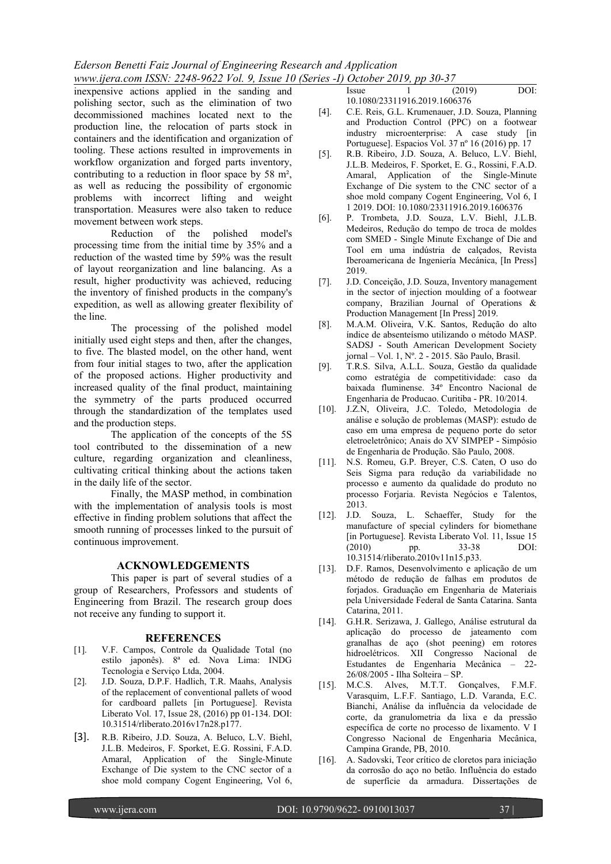inexpensive actions applied in the sanding and polishing sector, such as the elimination of two decommissioned machines located next to the production line, the relocation of parts stock in containers and the identification and organization of tooling. These actions resulted in improvements in workflow organization and forged parts inventory, contributing to a reduction in floor space by 58 m², as well as reducing the possibility of ergonomic problems with incorrect lifting and weight transportation. Measures were also taken to reduce movement between work steps.

Reduction of the polished model's processing time from the initial time by 35% and a reduction of the wasted time by 59% was the result of layout reorganization and line balancing. As a result, higher productivity was achieved, reducing the inventory of finished products in the company's expedition, as well as allowing greater flexibility of the line.

The processing of the polished model initially used eight steps and then, after the changes, to five. The blasted model, on the other hand, went from four initial stages to two, after the application of the proposed actions. Higher productivity and increased quality of the final product, maintaining the symmetry of the parts produced occurred through the standardization of the templates used and the production steps.

The application of the concepts of the 5S tool contributed to the dissemination of a new culture, regarding organization and cleanliness, cultivating critical thinking about the actions taken in the daily life of the sector.

Finally, the MASP method, in combination with the implementation of analysis tools is most effective in finding problem solutions that affect the smooth running of processes linked to the pursuit of continuous improvement.

#### **ACKNOWLEDGEMENTS**

This paper is part of several studies of a group of Researchers, Professors and students of Engineering from Brazil. The research group does not receive any funding to support it.

#### **REFERENCES**

- [1]. V.F. Campos, Controle da Qualidade Total (no estilo japonês). 8ª ed. Nova Lima: INDG Tecnologia e Serviço Ltda, 2004.
- [2]. J.D. Souza, D.P.F. Hadlich, T.R. Maahs, Analysis of the replacement of conventional pallets of wood for cardboard pallets [in Portuguese]. Revista Liberato Vol. 17, Issue 28, (2016) pp 01-134. DOI: 10.31514/rliberato.2016v17n28.p177.
- [3]. R.B. Ribeiro, J.D. Souza, A. Beluco, L.V. Biehl, J.L.B. Medeiros, F. Sporket, E.G. Rossini, F.A.D. Amaral, Application of the Single-Minute Exchange of Die system to the CNC sector of a shoe mold company Cogent Engineering, Vol 6,

Issue  $1$   $(2019)$   $DOI$ : 10.1080/23311916.2019.1606376

- [4]. C.E. Reis, G.L. Krumenauer, J.D. Souza, Planning and Production Control (PPC) on a footwear industry microenterprise: A case study [in Portuguese]. Espacios Vol. 37 nº 16 (2016) pp. 17
- [5]. R.B. Ribeiro, J.D. Souza, A. Beluco, L.V. Biehl, J.L.B. Medeiros, F. Sporket, E. G., Rossini, F.A.D. Amaral, Application of the Single-Minute Exchange of Die system to the CNC sector of a shoe mold company Cogent Engineering, Vol 6, I 1 2019. DOI: 10.1080/23311916.2019.1606376
- [6]. P. Trombeta, J.D. Souza, L.V. Biehl, J.L.B. Medeiros, Redução do tempo de troca de moldes com SMED - Single Minute Exchange of Die and Tool em uma indústria de calçados, Revista Iberoamericana de Ingeniería Mecánica, [In Press] 2019.
- [7]. J.D. Conceição, J.D. Souza, Inventory management in the sector of injection moulding of a footwear company, Brazilian Journal of Operations & Production Management [In Press] 2019.
- [8]. M.A.M. Oliveira, V.K. Santos, Redução do alto índice de absenteísmo utilizando o método MASP. SADSJ - South American Development Society jornal – Vol. 1, Nº. 2 - 2015. São Paulo, Brasil.
- [9]. T.R.S. Silva, A.L.L. Souza, Gestão da qualidade como estratégia de competitividade: caso da baixada fluminense. 34º Encontro Nacional de Engenharia de Producao. Curitiba - PR. 10/2014.
- [10]. J.Z.N, Oliveira, J.C. Toledo, Metodologia de análise e solução de problemas (MASP): estudo de caso em uma empresa de pequeno porte do setor eletroeletrônico; Anais do XV SIMPEP - Simpósio de Engenharia de Produção. São Paulo, 2008.
- [11]. N.S. Romeu, G.P. Breyer, C.S. Caten, O uso do Seis Sigma para redução da variabilidade no processo e aumento da qualidade do produto no processo Forjaria. Revista Negócios e Talentos, 2013.
- [12]. J.D. Souza, L. Schaeffer, Study for the manufacture of special cylinders for biomethane [in Portuguese]. Revista Liberato Vol. 11, Issue 15 (2010) pp. 33-38 DOI: 10.31514/rliberato.2010v11n15.p33.
- [13]. D.F. Ramos, Desenvolvimento e aplicação de um método de redução de falhas em produtos de forjados. Graduação em Engenharia de Materiais pela Universidade Federal de Santa Catarina. Santa Catarina, 2011.
- [14]. G.H.R. Serizawa, J. Gallego, Análise estrutural da aplicação do processo de jateamento com granalhas de aço (shot peening) em rotores hidroelétricos. XII Congresso Nacional de Estudantes de Engenharia Mecânica – 22- 26/08/2005 - Ilha Solteira – SP.
- [15]. M.C.S. Alves, M.T.T. Gonçalves, F.M.F. Varasquim, L.F.F. Santiago, L.D. Varanda, E.C. Bianchi, Análise da influência da velocidade de corte, da granulometria da lixa e da pressão específica de corte no processo de lixamento. V I Congresso Nacional de Engenharia Mecânica, Campina Grande, PB, 2010.
- [16]. A. Sadovski, Teor crítico de cloretos para iniciação da corrosão do aço no betão. Influência do estado de superfície da armadura. Dissertações de